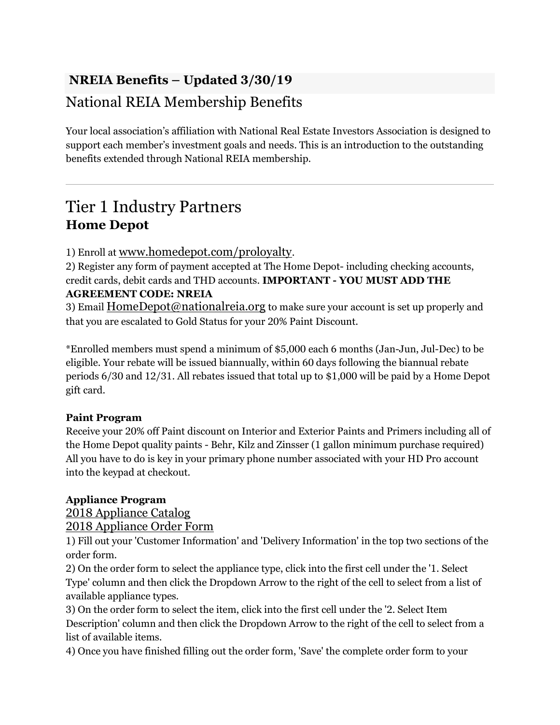## NREIA Benefits – Updated 3/30/19

## National REIA Membership Benefits

Your local association's affiliation with National Real Estate Investors Association is designed to support each member's investment goals and needs. This is an introduction to the outstanding benefits extended through National REIA membership.

## Tier 1 Industry Partners Home Depot

### 1) Enroll at www.homedepot.com/proloyalty.

2) Register any form of payment accepted at The Home Depot- including checking accounts, credit cards, debit cards and THD accounts. IMPORTANT - YOU MUST ADD THE AGREEMENT CODE: NREIA

3) Email HomeDepot@nationalreia.org to make sure your account is set up properly and that you are escalated to Gold Status for your 20% Paint Discount.

\*Enrolled members must spend a minimum of \$5,000 each 6 months (Jan-Jun, Jul-Dec) to be eligible. Your rebate will be issued biannually, within 60 days following the biannual rebate periods 6/30 and 12/31. All rebates issued that total up to \$1,000 will be paid by a Home Depot gift card.

### Paint Program

Receive your 20% off Paint discount on Interior and Exterior Paints and Primers including all of the Home Depot quality paints - Behr, Kilz and Zinsser (1 gallon minimum purchase required) All you have to do is key in your primary phone number associated with your HD Pro account into the keypad at checkout.

### Appliance Program

2018 Appliance Catalog

2018 Appliance Order Form

1) Fill out your 'Customer Information' and 'Delivery Information' in the top two sections of the order form.

2) On the order form to select the appliance type, click into the first cell under the '1. Select Type' column and then click the Dropdown Arrow to the right of the cell to select from a list of available appliance types.

3) On the order form to select the item, click into the first cell under the '2. Select Item Description' column and then click the Dropdown Arrow to the right of the cell to select from a list of available items.

4) Once you have finished filling out the order form, 'Save' the complete order form to your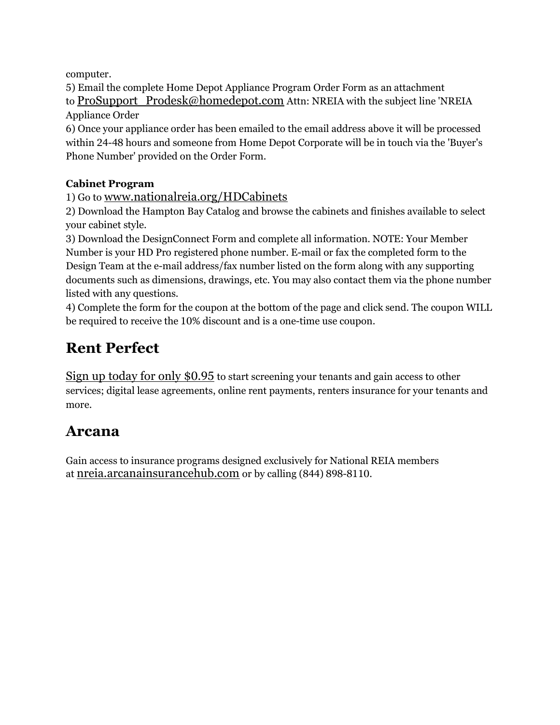computer.

5) Email the complete Home Depot Appliance Program Order Form as an attachment to ProSupport Prodesk@homedepot.com Attn: NREIA with the subject line 'NREIA Appliance Order

6) Once your appliance order has been emailed to the email address above it will be processed within 24-48 hours and someone from Home Depot Corporate will be in touch via the 'Buyer's Phone Number' provided on the Order Form.

## Cabinet Program

1) Go to www.nationalreia.org/HDCabinets

2) Download the Hampton Bay Catalog and browse the cabinets and finishes available to select your cabinet style.

3) Download the DesignConnect Form and complete all information. NOTE: Your Member Number is your HD Pro registered phone number. E-mail or fax the completed form to the Design Team at the e-mail address/fax number listed on the form along with any supporting documents such as dimensions, drawings, etc. You may also contact them via the phone number listed with any questions.

4) Complete the form for the coupon at the bottom of the page and click send. The coupon WILL be required to receive the 10% discount and is a one-time use coupon.

# Rent Perfect

Sign up today for only \$0.95 to start screening your tenants and gain access to other services; digital lease agreements, online rent payments, renters insurance for your tenants and more.

## Arcana

Gain access to insurance programs designed exclusively for National REIA members at nreia.arcanainsurancehub.com or by calling (844) 898-8110.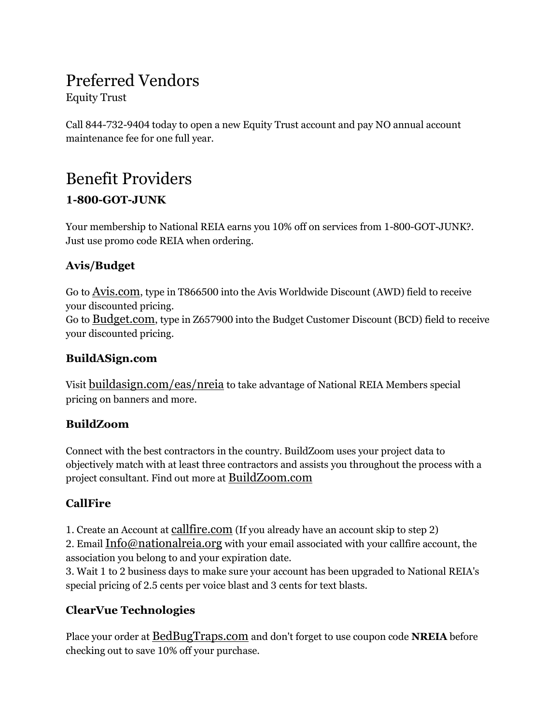## Preferred Vendors

Equity Trust

Call 844-732-9404 today to open a new Equity Trust account and pay NO annual account maintenance fee for one full year.

## Benefit Providers 1-800-GOT-JUNK

Your membership to National REIA earns you 10% off on services from 1-800-GOT-JUNK?. Just use promo code REIA when ordering.

## Avis/Budget

Go to Avis.com, type in T866500 into the Avis Worldwide Discount (AWD) field to receive your discounted pricing. Go to **Budget.com**, type in Z657900 into the Budget Customer Discount (BCD) field to receive your discounted pricing.

## BuildASign.com

Visit buildasign.com/eas/nreia to take advantage of National REIA Members special pricing on banners and more.

## BuildZoom

Connect with the best contractors in the country. BuildZoom uses your project data to objectively match with at least three contractors and assists you throughout the process with a project consultant. Find out more at BuildZoom.com

## **CallFire**

1. Create an Account at callfire.com (If you already have an account skip to step 2)

2. Email Info@nationalreia.org with your email associated with your callfire account, the association you belong to and your expiration date.

3. Wait 1 to 2 business days to make sure your account has been upgraded to National REIA's special pricing of 2.5 cents per voice blast and 3 cents for text blasts.

## ClearVue Technologies

Place your order at BedBugTraps.com and don't forget to use coupon code NREIA before checking out to save 10% off your purchase.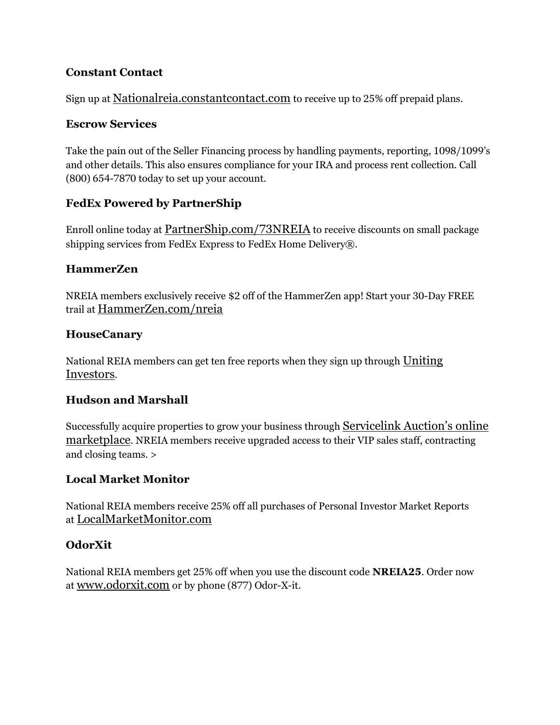### Constant Contact

Sign up at Nationalreia.constantcontact.com to receive up to 25% off prepaid plans.

#### Escrow Services

Take the pain out of the Seller Financing process by handling payments, reporting, 1098/1099's and other details. This also ensures compliance for your IRA and process rent collection. Call (800) 654-7870 today to set up your account.

## FedEx Powered by PartnerShip

Enroll online today at PartnerShip.com/73NREIA to receive discounts on small package shipping services from FedEx Express to FedEx Home Delivery®.

### HammerZen

NREIA members exclusively receive \$2 off of the HammerZen app! Start your 30-Day FREE trail at HammerZen.com/nreia

### HouseCanary

National REIA members can get ten free reports when they sign up through Uniting Investors.

### Hudson and Marshall

Successfully acquire properties to grow your business through **Servicelink Auction's online** marketplace. NREIA members receive upgraded access to their VIP sales staff, contracting and closing teams. >

## Local Market Monitor

National REIA members receive 25% off all purchases of Personal Investor Market Reports at LocalMarketMonitor.com

## OdorXit

National REIA members get 25% off when you use the discount code NREIA25. Order now at www.odorxit.com or by phone (877) Odor-X-it.